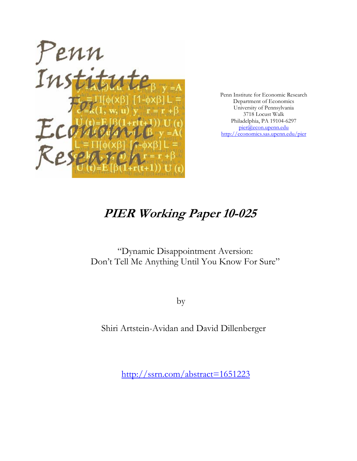

Penn Institute for Economic Research Department of Economics University of Pennsylvania 3718 Locust Walk Philadelphia, PA 19104-6297 pier@econ.upenn.edu http://economics.sas.upenn.edu/pier

# **PIER Working Paper 10-025**

"Dynamic Disappointment Aversion: Don't Tell Me Anything Until You Know For Sure"

by

Shiri Artstein-Avidan and David Dillenberger

http://ssrn.com/abstract=1651223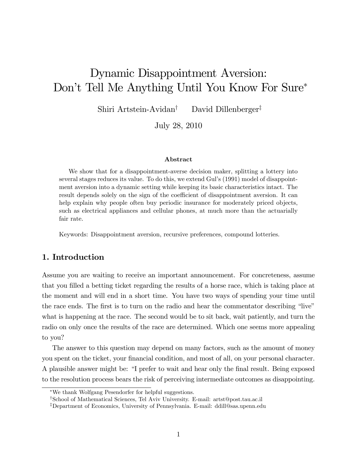# Dynamic Disappointment Aversion: Don't Tell Me Anything Until You Know For Sure\*

Shiri Artstein-Avidan<sup>†</sup> David Dillenberger<sup>‡</sup>

July 28, 2010

#### Abstract

We show that for a disappointment-averse decision maker, splitting a lottery into several stages reduces its value. To do this, we extend Gul's (1991) model of disappointment aversion into a dynamic setting while keeping its basic characteristics intact. The result depends solely on the sign of the coefficient of disappointment aversion. It can help explain why people often buy periodic insurance for moderately priced objects, such as electrical appliances and cellular phones, at much more than the actuarially fair rate.

Keywords: Disappointment aversion, recursive preferences, compound lotteries.

## 1. Introduction

Assume you are waiting to receive an important announcement. For concreteness, assume that you filled a betting ticket regarding the results of a horse race, which is taking place at the moment and will end in a short time. You have two ways of spending your time until the race ends. The first is to turn on the radio and hear the commentator describing "live" what is happening at the race. The second would be to sit back, wait patiently, and turn the radio on only once the results of the race are determined. Which one seems more appealing to you?

The answer to this question may depend on many factors, such as the amount of money you spent on the ticket, your financial condition, and most of all, on your personal character. A plausible answer might be: "I prefer to wait and hear only the final result. Being exposed to the resolution process bears the risk of perceiving intermediate outcomes as disappointing.

We thank Wolfgang Pesendorfer for helpful suggestions.

<sup>&</sup>lt;sup>†</sup>School of Mathematical Sciences, Tel Aviv University. E-mail: artst@post.tau.ac.il

<sup>&</sup>lt;sup>‡</sup>Department of Economics, University of Pennsylvania. E-mail: ddill@sas.upenn.edu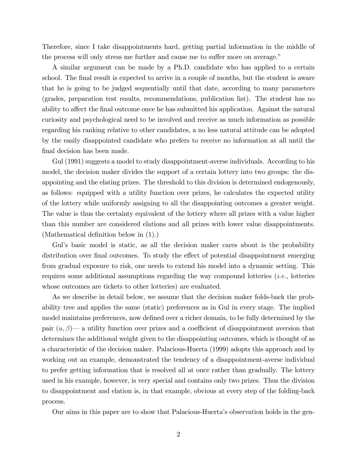Therefore, since I take disappointments hard, getting partial information in the middle of the process will only stress me further and cause me to suffer more on average."

A similar argument can be made by a Ph.D. candidate who has applied to a certain school. The final result is expected to arrive in a couple of months, but the student is aware that he is going to be judged sequentially until that date, according to many parameters (grades, preparation test results, recommendations, publication list). The student has no ability to affect the final outcome once he has submitted his application. Against the natural curiosity and psychological need to be involved and receive as much information as possible regarding his ranking relative to other candidates, a no less natural attitude can be adopted by the easily disappointed candidate who prefers to receive no information at all until the final decision has been made.

Gul (1991) suggests a model to study disappointment-averse individuals. According to his model, the decision maker divides the support of a certain lottery into two groups: the disappointing and the elating prizes. The threshold to this division is determined endogenously, as follows: equipped with a utility function over prizes, he calculates the expected utility of the lottery while uniformly assigning to all the disappointing outcomes a greater weight. The value is thus the certainty equivalent of the lottery where all prizes with a value higher than this number are considered elations and all prizes with lower value disappointments. (Mathematical definition below in  $(1)$ .)

Gul's basic model is static, as all the decision maker cares about is the probability distribution over final outcomes. To study the effect of potential disappointment emerging from gradual exposure to risk, one needs to extend his model into a dynamic setting. This requires some additional assumptions regarding the way compound lotteries (i.e., lotteries whose outcomes are tickets to other lotteries) are evaluated.

As we describe in detail below, we assume that the decision maker folds-back the probability tree and applies the same (static) preferences as in Gul in every stage. The implied model maintains preferences, now defined over a richer domain, to be fully determined by the pair  $(u, \beta)$  a utility function over prizes and a coefficient of disappointment aversion that determines the additional weight given to the disappointing outcomes, which is thought of as a characteristic of the decision maker. Palacious-Huerta (1999) adopts this approach and by working out an example, demonstrated the tendency of a disappointment-averse individual to prefer getting information that is resolved all at once rather than gradually. The lottery used in his example, however, is very special and contains only two prizes. Thus the division to disappointment and elation is, in that example, obvious at every step of the folding-back process.

Our aims in this paper are to show that Palacious-Huertaís observation holds in the gen-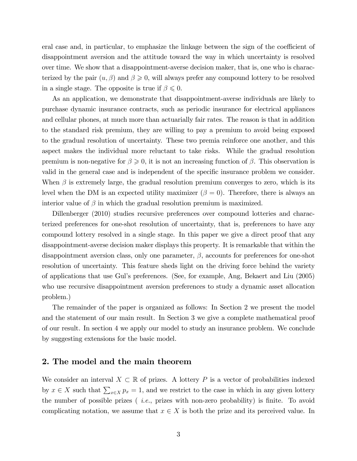eral case and, in particular, to emphasize the linkage between the sign of the coefficient of disappointment aversion and the attitude toward the way in which uncertainty is resolved over time. We show that a disappointment-averse decision maker, that is, one who is characterized by the pair  $(u, \beta)$  and  $\beta \geqslant 0$ , will always prefer any compound lottery to be resolved in a single stage. The opposite is true if  $\beta \leq 0$ .

As an application, we demonstrate that disappointment-averse individuals are likely to purchase dynamic insurance contracts, such as periodic insurance for electrical appliances and cellular phones, at much more than actuarially fair rates. The reason is that in addition to the standard risk premium, they are willing to pay a premium to avoid being exposed to the gradual resolution of uncertainty. These two premia reinforce one another, and this aspect makes the individual more reluctant to take risks. While the gradual resolution premium is non-negative for  $\beta \geqslant 0$ , it is not an increasing function of  $\beta$ . This observation is valid in the general case and is independent of the specific insurance problem we consider. When  $\beta$  is extremely large, the gradual resolution premium converges to zero, which is its level when the DM is an expected utility maximizer  $(\beta = 0)$ . Therefore, there is always an interior value of  $\beta$  in which the gradual resolution premium is maximized.

Dillenberger (2010) studies recursive preferences over compound lotteries and characterized preferences for one-shot resolution of uncertainty, that is, preferences to have any compound lottery resolved in a single stage. In this paper we give a direct proof that any disappointment-averse decision maker displays this property. It is remarkable that within the disappointment aversion class, only one parameter,  $\beta$ , accounts for preferences for one-shot resolution of uncertainty. This feature sheds light on the driving force behind the variety of applications that use Gulís preferences. (See, for example, Ang, Bekaert and Liu (2005) who use recursive disappointment aversion preferences to study a dynamic asset allocation problem.)

The remainder of the paper is organized as follows: In Section 2 we present the model and the statement of our main result. In Section 3 we give a complete mathematical proof of our result. In section 4 we apply our model to study an insurance problem. We conclude by suggesting extensions for the basic model.

#### 2. The model and the main theorem

We consider an interval  $X \subset \mathbb{R}$  of prizes. A lottery P is a vector of probabilities indexed by  $x \in X$  such that  $\sum_{x \in X} p_x = 1$ , and we restrict to the case in which in any given lottery the number of possible prizes  $(i.e.,\text{ prizes with non-zero probability})$  is finite. To avoid complicating notation, we assume that  $x \in X$  is both the prize and its perceived value. In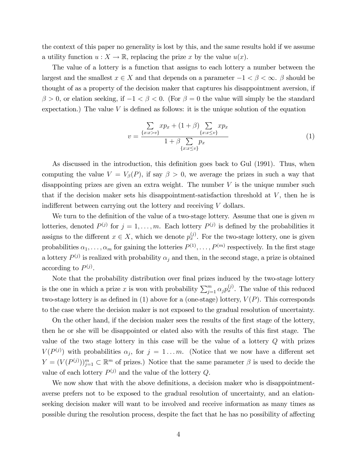the context of this paper no generality is lost by this, and the same results hold if we assume a utility function  $u: X \to \mathbb{R}$ , replacing the prize x by the value  $u(x)$ .

The value of a lottery is a function that assigns to each lottery a number between the largest and the smallest  $x \in X$  and that depends on a parameter  $-1 < \beta < \infty$ .  $\beta$  should be thought of as a property of the decision maker that captures his disappointment aversion, if  $\beta > 0$ , or elation seeking, if  $-1 < \beta < 0$ . (For  $\beta = 0$  the value will simply be the standard expectation.) The value  $V$  is defined as follows: it is the unique solution of the equation

$$
v = \frac{\sum_{\{x:x>v\}} x p_x + (1+\beta) \sum_{\{x:x\leq v\}} x p_x}{1+\beta \sum_{\{x:x\leq v\}} p_x}
$$
(1)

As discussed in the introduction, this definition goes back to Gul (1991). Thus, when computing the value  $V = V_{\beta}(P)$ , if say  $\beta > 0$ , we average the prizes in such a way that disappointing prizes are given an extra weight. The number  $V$  is the unique number such that if the decision maker sets his disappointment-satisfaction threshold at  $V$ , then he is indifferent between carrying out the lottery and receiving  $V$  dollars.

We turn to the definition of the value of a two-stage lottery. Assume that one is given  $m$ lotteries, denoted  $P^{(j)}$  for  $j = 1, ..., m$ . Each lottery  $P^{(j)}$  is defined by the probabilities it assigns to the different  $x \in X$ , which we denote  $p_x^{(j)}$ . For the two-stage lottery, one is given probabilities  $\alpha_1, \ldots, \alpha_m$  for gaining the lotteries  $P^{(1)}, \ldots, P^{(m)}$  respectively. In the first stage a lottery  $P^{(j)}$  is realized with probability  $\alpha_j$  and then, in the second stage, a prize is obtained according to  $P^{(j)}$ .

Note that the probability distribution over final prizes induced by the two-stage lottery is the one in which a prize x is won with probability  $\sum_{j=1}^{m} \alpha_j p_x^{(j)}$ . The value of this reduced two-stage lottery is as defined in (1) above for a (one-stage) lottery,  $V(P)$ . This corresponds to the case where the decision maker is not exposed to the gradual resolution of uncertainty.

On the other hand, if the decision maker sees the results of the first stage of the lottery, then he or she will be disappointed or elated also with the results of this first stage. The value of the two stage lottery in this case will be the value of a lottery Q with prizes  $V(P^{(j)})$  with probabilities  $\alpha_j$ , for  $j = 1...m$ . (Notice that we now have a different set  $Y = (V(P^{(j)}))_{j=1}^m \subset \mathbb{R}^m$  of prizes.) Notice that the same parameter  $\beta$  is used to decide the value of each lottery  $P^{(j)}$  and the value of the lottery Q.

We now show that with the above definitions, a decision maker who is disappointmentaverse prefers not to be exposed to the gradual resolution of uncertainty, and an elationseeking decision maker will want to be involved and receive information as many times as possible during the resolution process, despite the fact that he has no possibility of affecting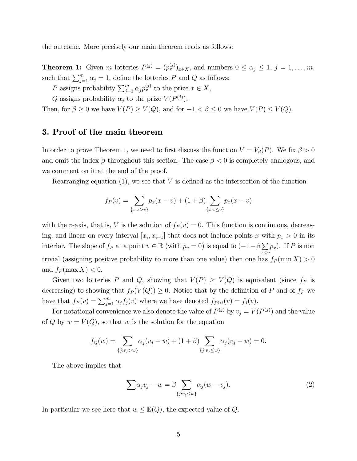the outcome. More precisely our main theorem reads as follows:

**Theorem 1:** Given m lotteries  $P^{(j)} = (p_x^{(j)})_{x \in X}$ , and numbers  $0 \le \alpha_j \le 1, j = 1, \ldots, m$ , such that  $\sum_{j=1}^{m} \alpha_j = 1$ , define the lotteries P and Q as follows:

- P assigns probability  $\sum_{j=1}^{m} \alpha_j p_x^{(j)}$  to the prize  $x \in X$ ,
- Q assigns probability  $\alpha_j$  to the prize  $V (P^{(j)})$ .

Then, for  $\beta \geq 0$  we have  $V(P) \geq V(Q)$ , and for  $-1 < \beta \leq 0$  we have  $V(P) \leq V(Q)$ .

## 3. Proof of the main theorem

In order to prove Theorem 1, we need to first discuss the function  $V = V_\beta(P)$ . We fix  $\beta > 0$ and omit the index  $\beta$  throughout this section. The case  $\beta < 0$  is completely analogous, and we comment on it at the end of the proof.

Rearranging equation  $(1)$ , we see that V is defined as the intersection of the function

$$
f_P(v) = \sum_{\{x:x>v\}} p_x(x-v) + (1+\beta) \sum_{\{x:x\leq v\}} p_x(x-v)
$$

with the v-axis, that is, V is the solution of  $f_P(v) = 0$ . This function is continuous, decreasing, and linear on every interval  $[x_i, x_{i+1}]$  that does not include points x with  $p_x > 0$  in its interior. The slope of  $f_P$  at a point  $v \in \mathbb{R}$  (with  $p_v = 0$ ) is equal to  $\left(-1 - \beta \sum_{i=1}^{n} a_i\right)$  $x \leq v$  $p_x$ ). If P is non trivial (assigning positive probability to more than one value) then one has  $f_P(\min X) > 0$ and  $f_P(\max X) < 0$ .

Given two lotteries P and Q, showing that  $V(P) \geq V(Q)$  is equivalent (since  $f_P$  is decreasing) to showing that  $f_P(V(Q)) \geq 0$ . Notice that by the definition of P and of  $f_P$  we have that  $f_P(v) = \sum_{j=1}^m \alpha_j f_j(v)$  where we have denoted  $f_{P^{(j)}}(v) = f_j(v)$ .

For notational convenience we also denote the value of  $P^{(j)}$  by  $v_j = V(P^{(j)})$  and the value of Q by  $w = V(Q)$ , so that w is the solution for the equation

$$
f_Q(w) = \sum_{\{j: v_j > w\}} \alpha_j(v_j - w) + (1 + \beta) \sum_{\{j: v_j \le w\}} \alpha_j(v_j - w) = 0.
$$

The above implies that

$$
\sum \alpha_j v_j - w = \beta \sum_{\{j: v_j \le w\}} \alpha_j (w - v_j). \tag{2}
$$

In particular we see here that  $w \leq \mathbb{E}(Q)$ , the expected value of Q.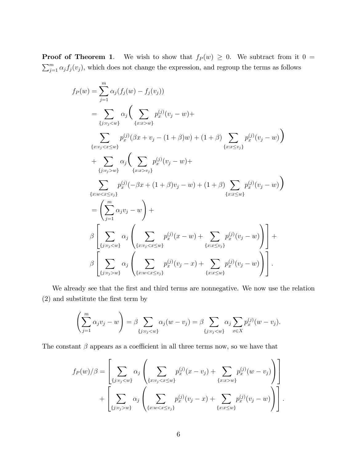**Proof of Theorem 1.** We wish to show that  $f_P(w) \geq 0$ . We subtract from it  $0 =$  $\sum_{j=1}^{m} \alpha_j f_j(v_j)$ , which does not change the expression, and regroup the terms as follows

$$
f_P(w) = \sum_{j=1}^{m} \alpha_j (f_j(w) - f_j(v_j))
$$
  
\n
$$
= \sum_{\{j:v_j < w\}} \alpha_j \Big( \sum_{\{x:x>w\}} p_x^{(j)}(v_j - w) +
$$
  
\n
$$
\sum_{\{x:v_j < x \le w\}} p_x^{(j)}(\beta x + v_j - (1 + \beta)w) + (1 + \beta) \sum_{\{x:x \le v_j\}} p_x^{(j)}(v_j - w) \Big)
$$
  
\n
$$
+ \sum_{\{j:v_j > w\}} \alpha_j \Big( \sum_{\{x:x>w\}} p_x^{(j)}(v_j - w) +
$$
  
\n
$$
\sum_{\{x:w < x \le v_j\}} p_x^{(j)}(-\beta x + (1 + \beta)v_j - w) + (1 + \beta) \sum_{\{x:x \le w\}} p_x^{(j)}(v_j - w) \Big)
$$
  
\n
$$
= \Big( \sum_{j=1}^{m} \alpha_j v_j - w \Big) +
$$
  
\n
$$
\beta \Big[ \sum_{\{j:v_j < w\}} \alpha_j \Big( \sum_{\{x:v_j < x \le w\}} p_x^{(j)}(x - w) + \sum_{\{x:x \le v_j\}} p_x^{(j)}(v_j - w) \Big) \Big] +
$$
  
\n
$$
\beta \Big[ \sum_{\{j:v_j > w\}} \alpha_j \Big( \sum_{\{x:w < x \le v_j\}} p_x^{(j)}(v_j - x) + \sum_{\{x:x \le w\}} p_x^{(j)}(v_j - w) \Big) \Big] +
$$

We already see that the first and third terms are nonnegative. We now use the relation (2) and substitute the Örst term by

$$
\left(\sum_{j=1}^m \alpha_j v_j - w\right) = \beta \sum_{\{j: v_j < w\}} \alpha_j (w - v_j) = \beta \sum_{\{j: v_j < w\}} \alpha_j \sum_{x \in X} p_x^{(j)} (w - v_j).
$$

The constant  $\beta$  appears as a coefficient in all three terms now, so we have that

$$
f_P(w)/\beta = \left[ \sum_{\{j:v_j < w\}} \alpha_j \left( \sum_{\{x:v_j < x \le w\}} p_x^{(j)}(x - v_j) + \sum_{\{x:x>w\}} p_x^{(j)}(w - v_j) \right) \right] + \left[ \sum_{\{j:v_j > w\}} \alpha_j \left( \sum_{\{x:w < x \le v_j\}} p_x^{(j)}(v_j - x) + \sum_{\{x:x \le w\}} p_x^{(j)}(v_j - w) \right) \right].
$$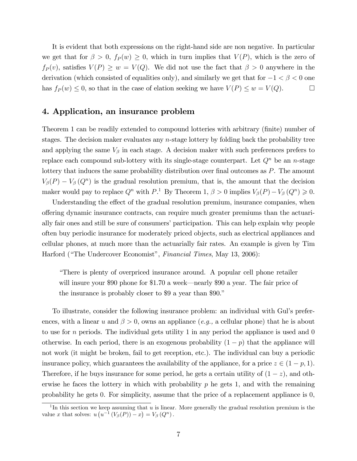It is evident that both expressions on the right-hand side are non negative. In particular we get that for  $\beta > 0$ ,  $f_P(w) \geq 0$ , which in turn implies that  $V(P)$ , which is the zero of  $f_P(v)$ , satisfies  $V(P) \geq w = V(Q)$ . We did not use the fact that  $\beta > 0$  anywhere in the derivation (which consisted of equalities only), and similarly we get that for  $-1 < \beta < 0$  one has  $f_P(w) \leq 0$ , so that in the case of elation seeking we have  $V(P) \leq w = V(Q)$ .

### 4. Application, an insurance problem

Theorem 1 can be readily extended to compound lotteries with arbitrary (finite) number of stages. The decision maker evaluates any n-stage lottery by folding back the probability tree and applying the same  $V_{\beta}$  in each stage. A decision maker with such preferences prefers to replace each compound sub-lottery with its single-stage counterpart. Let  $Q<sup>n</sup>$  be an *n*-stage lottery that induces the same probability distribution over final outcomes as  $P$ . The amount  $V_{\beta}(P) - V_{\beta}(Q^n)$  is the gradual resolution premium, that is, the amount that the decision maker would pay to replace  $Q^n$  with  $P$ .<sup>1</sup> By Theorem 1,  $\beta > 0$  implies  $V_{\beta}(P) - V_{\beta}(Q^n) \geq 0$ .

Understanding the effect of the gradual resolution premium, insurance companies, when offering dynamic insurance contracts, can require much greater premiums than the actuarially fair ones and still be sure of consumers' participation. This can help explain why people often buy periodic insurance for moderately priced objects, such as electrical appliances and cellular phones, at much more than the actuarially fair rates. An example is given by Tim Harford ("The Undercover Economist", Financial Times, May 13, 2006):

ìThere is plenty of overpriced insurance around. A popular cell phone retailer will insure your \$90 phone for  $$1.70$  a week—nearly \$90 a year. The fair price of the insurance is probably closer to \$9 a year than \$90.<sup>n</sup>

To illustrate, consider the following insurance problem: an individual with Gulís preferences, with a linear u and  $\beta > 0$ , owns an appliance (e.g., a cellular phone) that he is about to use for n periods. The individual gets utility 1 in any period the appliance is used and  $0$ otherwise. In each period, there is an exogenous probability  $(1 - p)$  that the appliance will not work (it might be broken, fail to get reception, etc.). The individual can buy a periodic insurance policy, which guarantees the availability of the appliance, for a price  $z \in (1 - p, 1)$ . Therefore, if he buys insurance for some period, he gets a certain utility of  $(1 - z)$ , and otherwise he faces the lottery in which with probability  $p$  he gets 1, and with the remaining probability he gets 0. For simplicity, assume that the price of a replacement appliance is 0,

<sup>&</sup>lt;sup>1</sup>In this section we keep assuming that  $u$  is linear. More generally the gradual resolution premium is the value x that solves:  $u(u^{-1}(V_\beta(P)) - x) = V_\beta(Q^n)$ .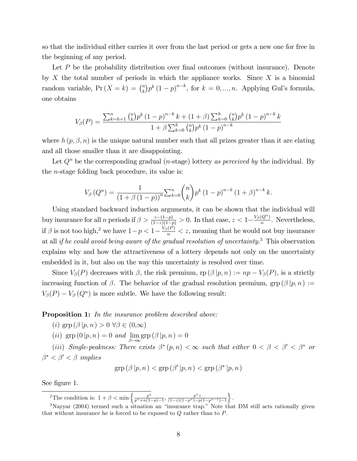so that the individual either carries it over from the last period or gets a new one for free in the beginning of any period.

Let  $P$  be the probability distribution over final outcomes (without insurance). Denote by  $X$  the total number of periods in which the appliance works. Since  $X$  is a binomial random variable,  $Pr(X = k) = {n \choose k}$  $\binom{n}{k} p^k (1-p)^{n-k}$ , for  $k = 0, ..., n$ . Applying Gul's formula, one obtains

$$
V_{\beta}(P) = \frac{\sum_{k=h+1}^{n} \binom{n}{k} p^{k} (1-p)^{n-k} k + (1+\beta) \sum_{k=0}^{h} \binom{n}{k} p^{k} (1-p)^{n-k} k}{1+\beta \sum_{k=0}^{h} \binom{n}{k} p^{k} (1-p)^{n-k}}
$$

where  $h(p, \beta, n)$  is the unique natural number such that all prizes greater than it are elating and all those smaller than it are disappointing.

Let  $Q<sup>n</sup>$  be the corresponding gradual (*n*-stage) lottery as perceived by the individual. By the n-stage folding back procedure, its value is:

$$
V_{\beta}(Q^{n}) = \frac{1}{(1 + \beta (1 - p))^{n}} \sum_{k=0}^{n} {n \choose k} p^{k} (1 - p)^{n-k} (1 + \beta)^{n-k} k.
$$

Using standard backward induction arguments, it can be shown that the individual will buy insurance for all *n* periods if  $\beta > \frac{z-(1-p)}{(1-z)(1-p)} > 0$ . In that case,  $z < 1-\frac{V_\beta(Q^n)}{n}$  $\frac{(Q_{\perp})}{n}$ . Nevertheless, if  $\beta$  is not too high,<sup>2</sup> we have  $1-p < 1-\frac{V_{\beta}(P)}{n} < z$ , meaning that he would not buy insurance at all if he could avoid being aware of the gradual resolution of uncertainty.<sup>3</sup> This observation explains why and how the attractiveness of a lottery depends not only on the uncertainty embedded in it, but also on the way this uncertainty is resolved over time.

Since  $V_\beta(P)$  decreases with  $\beta$ , the risk premium,  $\text{rp}(\beta | p, n) := np - V_\beta(P)$ , is a strictly increasing function of  $\beta$ . The behavior of the gradual resolution premium, grp  $(\beta | p, n)$  :=  $V_{\beta}(P) - V_{\beta}(Q^n)$  is more subtle. We have the following result:

**Proposition 1:** In the insurance problem described above:

(*i*)  $\text{grp}(\beta | p, n) > 0 \ \forall \beta \in (0, \infty)$ 

(*ii*)  $\operatorname{grp}(0|p,n) = 0$  and  $\lim_{\beta \to \infty} \operatorname{grp}(\beta|p,n) = 0$ 

(iii) Single-peakness: There exists  $\beta^*(p,n) < \infty$  such that either  $0 < \beta < \beta' < \beta^*$  or  $\beta^* < \beta' < \beta$  implies

$$
\operatorname{grp}(\beta | p, n) < \operatorname{grp}(\beta' | p, n) < \operatorname{grp}(\beta^* | p, n)
$$

See figure 1.

<sup>2</sup>The condition is:  $1 + \beta < \min \left\{ \frac{p^n}{n^n + n!} \right\}$  $\frac{p^n}{p^n+n(1-p)-1}$ ,  $\frac{p^nz}{(1-z)(1-p^n)-p}$  $\overline{(1-z)(1-p^n)-p(1-p^{n-1})-1}$  $\}$ .

 $3$ Nayyar (2004) termed such a situation an "insurance trap." Note that DM still acts rationally given that without insurance he is forced to be exposed to  $Q$  rather than to  $P$ .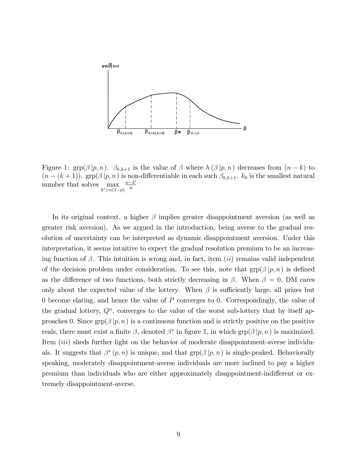

Figure 1:  $\text{grp}(\beta | p, n)$ .  $\beta_{k,k+1}$  is the value of  $\beta$  where  $h(\beta | p, n)$  decreases from  $(n-k)$  to  $(n - (k + 1))$ . grp $(\beta | p, n)$  is non-differentiable in each such  $\beta_{k,k+1}$ .  $k_0$  is the smallest natural number that solves  $\max_{k' > n(1-p)}$  $\frac{n-k'}{n}$ n

In its original context, a higher  $\beta$  implies greater disappointment aversion (as well as greater risk aversion). As we argued in the introduction, being averse to the gradual resolution of uncertainty can be interpreted as dynamic disappointment aversion. Under this interpretation, it seems intuitive to expect the gradual resolution premium to be an increasing function of  $\beta$ . This intuition is wrong and, in fact, item *(ii)* remains valid independent of the decision problem under consideration. To see this, note that  $\text{grp}(\beta | p, n)$  is defined as the difference of two functions, both strictly decreasing in  $\beta$ . When  $\beta = 0$ , DM cares only about the expected value of the lottery. When  $\beta$  is sufficiently large, all prizes but 0 become elating, and hence the value of P converges to 0. Correspondingly, the value of the gradual lottery,  $Q<sup>n</sup>$ , converges to the value of the worst sub-lottery that by itself approaches 0. Since  $\text{grp}(\beta | p, n)$  is a continuous function and is strictly positive on the positive reals, there must exist a finite  $\beta$ , denoted  $\beta^*$  in figure 1, in which  $\text{grp}(\beta | p, n)$  is maximized. Item *(iii)* sheds further light on the behavior of moderate disappointment-averse individuals. It suggests that  $\beta^*(p, n)$  is unique, and that  $\text{grp}(\beta | p, n)$  is single-peaked. Behaviorally speaking, moderately disappointment-averse individuals are more inclined to pay a higher premium than individuals who are either approximately disappointment-indifferent or extremely disappointment-averse.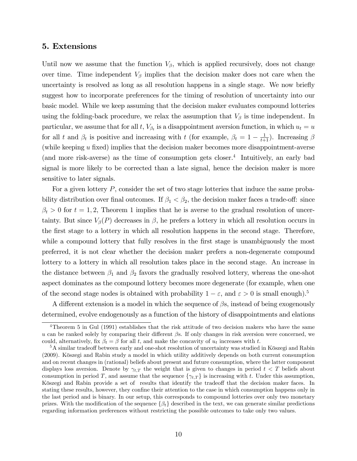#### 5. Extensions

Until now we assume that the function  $V_{\beta}$ , which is applied recursively, does not change over time. Time independent  $V_{\beta}$  implies that the decision maker does not care when the uncertainty is resolved as long as all resolution happens in a single stage. We now briefly suggest how to incorporate preferences for the timing of resolution of uncertainty into our basic model. While we keep assuming that the decision maker evaluates compound lotteries using the folding-back procedure, we relax the assumption that  $V_{\beta}$  is time independent. In particular, we assume that for all t,  $V_{\beta_t}$  is a disappointment aversion function, in which  $u_t = u$ for all t and  $\beta_t$  is positive and increasing with t (for example,  $\beta_t = 1 - \frac{1}{t+1}$ ). Increasing  $\beta$ (while keeping  $u$  fixed) implies that the decision maker becomes more disappointment-averse (and more risk-averse) as the time of consumption gets closer.<sup>4</sup> Intuitively, an early bad signal is more likely to be corrected than a late signal, hence the decision maker is more sensitive to later signals.

For a given lottery P, consider the set of two stage lotteries that induce the same probability distribution over final outcomes. If  $\beta_1 < \beta_2$ , the decision maker faces a trade-off: since  $\beta_t > 0$  for  $t = 1, 2$ , Theorem 1 implies that he is averse to the gradual resolution of uncertainty. But since  $V_{\beta}(P)$  decreases in  $\beta$ , he prefers a lottery in which all resolution occurs in the Örst stage to a lottery in which all resolution happens in the second stage. Therefore, while a compound lottery that fully resolves in the first stage is unambiguously the most preferred, it is not clear whether the decision maker prefers a non-degenerate compound lottery to a lottery in which all resolution takes place in the second stage. An increase in the distance between  $\beta_1$  and  $\beta_2$  favors the gradually resolved lottery, whereas the one-shot aspect dominates as the compound lottery becomes more degenerate (for example, when one of the second stage nodes is obtained with probability  $1 - \varepsilon$ , and  $\varepsilon > 0$  is small enough).<sup>5</sup>

A different extension is a model in which the sequence of  $\beta s$ , instead of being exogenously determined, evolve endogenously as a function of the history of disappointments and elations

<sup>&</sup>lt;sup>4</sup>Theorem 5 in Gul (1991) establishes that the risk attitude of two decision makers who have the same u can be ranked solely by comparing their different  $\beta s$ . If only changes in risk aversion were concerned, we could, alternatively, fix  $\beta_t = \beta$  for all t, and make the concavity of  $u_t$  increases with t.

 $5A$  similar tradeoff between early and one-shot resolution of uncertainty was studied in Köszegi and Rabin (2009). Kˆszegi and Rabin study a model in which utility additively depends on both current consumption and on recent changes in (rational) beliefs about present and future consumption, where the latter component displays loss aversion. Denote by  $\gamma_{t,T}$  the weight that is given to changes in period  $t < T$  beliefs about consumption in period T, and assume that the sequence  $\{\gamma_{t,T}\}\$ is increasing with t. Under this assumption, Köszegi and Rabin provide a set of results that identify the tradeoff that the decision maker faces. In stating these results, however, they confine their attention to the case in which consumption happens only in the last period and is binary. In our setup, this corresponds to compound lotteries over only two monetary prizes. With the modification of the sequence  $\{\beta_t\}$  described in the text, we can generate similar predictions regarding information preferences without restricting the possible outcomes to take only two values.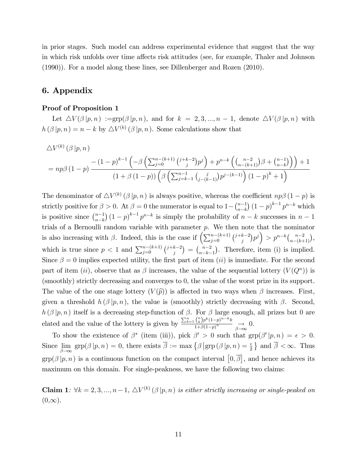in prior stages. Such model can address experimental evidence that suggest that the way in which risk unfolds over time affects risk attitudes (see, for example, Thaler and Johnson (1990)). For a model along these lines, see Dillenberger and Rozen (2010).

### 6. Appendix

#### Proof of Proposition 1

Let  $\Delta V(\beta | p, n) := \text{grp}(\beta | p, n)$ , and for  $k = 2, 3, ..., n-1$ , denote  $\Delta V(\beta | p, n)$  with  $h(\beta | p, n) = n - k$  by  $\Delta V^{(k)}(\beta | p, n)$ . Some calculations show that

$$
\Delta V^{(k)}(\beta | p, n) = np\beta (1-p) \frac{- (1-p)^{k-1} \left(-\beta \left(\sum_{j=0}^{n-(k+1)} {j+k-2 \choose j} p^j\right) + p^{n-k} \left(\binom{n-2}{n-(k+1)} \beta + \binom{n-1}{n-k}\right)\right) + 1}{(1+\beta (1-p)) \left(\beta \left(\sum_{j=k-1}^{n-1} {j \choose j-(k-1)} p^{j-(k-1)}\right) (1-p)^k + 1\right)}
$$

The denominator of  $\Delta V^{(k)}(\beta | p, n)$  is always positive, whereas the coefficient  $np\beta(1-p)$  is strictly positive for  $\beta > 0$ . At  $\beta = 0$  the numerator is equal to  $1 - {n-1 \choose n-k}$  $n-k$  $\int (1-p)^{k-1} p^{n-k}$  which is positive since  $\binom{n-1}{n-k}$  $n-k$  $(1-p)^{k-1} p^{n-k}$  is simply the probability of  $n-k$  successes in  $n-1$ trials of a Bernoulli random variable with parameter p. We then note that the nominator is also increasing with  $\beta$ . Indeed, this is the case if  $\left(\sum_{j=0}^{n-(k+1)} {j+k-2 \choose j} p^j\right) > p^{n-k} {n-2 \choose n-(k+1)},$ which is true since  $p < 1$  and  $\sum_{j=0}^{n-(k+1)} {j+k-2 \choose j} = {n-2 \choose n-k-1}$  $n-k-1$  . Therefore, item (i) is implied. Since  $\beta = 0$  implies expected utility, the first part of item (ii) is immediate. For the second part of item (ii), observe that as  $\beta$  increases, the value of the sequential lottery  $(V(Q^n))$  is (smoothly) strictly decreasing and converges to 0, the value of the worst prize in its support. The value of the one stage lottery  $(V(\hat{p}))$  is affected in two ways when  $\beta$  increases. First, given a threshold  $h(\beta|p,n)$ , the value is (smoothly) strictly decreasing with  $\beta$ . Second,  $h(\beta | p, n)$  itself is a decreasing step-function of  $\beta$ . For  $\beta$  large enough, all prizes but 0 are elated and the value of the lottery is given by  $\frac{\sum_{k=1}^{n} {n \choose k} p^{k} (1-p)^{n-k} k}{1 + \beta (1-p)^{n}}$  $\frac{\binom{k}{p} \binom{1-p}{p} \cdots \binom{n}{p}}{1+\beta(1-p)^n} \underset{\beta \to \infty}{\longrightarrow} 0.$ 

To show the existence of  $\beta^*$  (item (iii)), pick  $\beta' > 0$  such that  $\text{grp}(\beta'|p,n) = \epsilon > 0$ . Since lim  $\lim_{\beta \to \infty} \text{grp}(\beta | p, n) = 0$ , there exists  $\overline{\beta} := \max \{ \beta | \text{grp}(\beta | p, n) = \frac{\epsilon}{2} \}$  and  $\overline{\beta} < \infty$ . Thus  $\text{grp}(\beta | p, n)$  is a continuous function on the compact interval  $[0, \overline{\beta}]$ , and hence achieves its maximum on this domain. For single-peakness, we have the following two claims:

**Claim 1**:  $\forall k = 2, 3, ..., n-1, \triangle V^{(k)}(\beta | p, n)$  is either strictly increasing or single-peaked on  $(0,\infty).$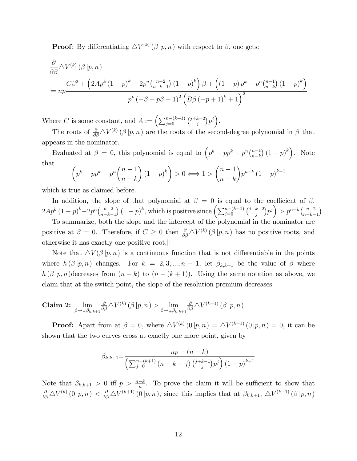**Proof**: By differentiating  $\Delta V^{(k)}(\beta | p, n)$  with respect to  $\beta$ , one gets:

$$
\frac{\partial}{\partial \beta} \Delta V^{(k)}(\beta | p, n) \n= np \frac{C\beta^2 + \left(2Ap^k (1-p)^k - 2p^n \binom{n-2}{n-k-1} (1-p)^k\right) \beta + \left((1-p)p^k - p^n \binom{n-1}{n-k} (1-p)^k\right)}{p^k (-\beta + p\beta - 1)^2 \left(B\beta (-p+1)^k + 1\right)^2}
$$

Where C is some constant, and  $A := \left(\sum_{j=0}^{n-(k+1)} {j+k-2 \choose j} p^j\right)$ .

The roots of  $\frac{\partial}{\partial \beta} \Delta V^{(k)}(\beta | p, n)$  are the roots of the second-degree polynomial in  $\beta$  that appears in the nominator.

Evaluated at  $\beta = 0$ , this polynomial is equal to  $\left(p^k - pp^k - p^n\binom{n-1}{n-k}\right)$  $n-k$  $(1-p)^{k}$ . Note that  $\sqrt{ }$  $\sqrt{ }$  $\lambda$  $\lambda$  $\sqrt{ }$  $\lambda$ 

$$
\left(p^k - pp^k - p^n \binom{n-1}{n-k} (1-p)^k\right) > 0 \Longleftrightarrow 1 > \binom{n-1}{n-k} p^{n-k} (1-p)^{k-1}
$$

which is true as claimed before.

In addition, the slope of that polynomial at  $\beta = 0$  is equal to the coefficient of  $\beta$ ,  $2Ap^k (1-p)^k - 2p^n {n-2 \choose n-k}$  $n-k-1$  $(1-p)^k$ , which is positive since  $\left(\sum_{j=0}^{n-(k+1)} {j+k-2 \choose j} p^j\right) > p^{n-k} {n-2 \choose n-k-1}$  $n-k-1$ .

To summarize, both the slope and the intercept of the polynomial in the nominator are positive at  $\beta = 0$ . Therefore, if  $C \geq 0$  then  $\frac{\partial}{\partial \beta} \Delta V^{(k)}(\beta | p, n)$  has no positive roots, and otherwise it has exactly one positive root.k

Note that  $\Delta V(\beta | p, n)$  is a continuous function that is not differentiable in the points where  $h(\beta | p, n)$  changes. For  $k = 2, 3, ..., n-1$ , let  $\beta_{k,k+1}$  be the value of  $\beta$  where  $h(\beta | p, n)$  decreases from  $(n - k)$  to  $(n - (k + 1))$ . Using the same notation as above, we claim that at the switch point, the slope of the resolution premium decreases.

**Claim 2:** 
$$
\lim_{\beta \to -\beta_{k,k+1}} \frac{\partial}{\partial \beta} \Delta V^{(k)}(\beta | p, n) > \lim_{\beta \to +\beta_{k,k+1}} \frac{\partial}{\partial \beta} \Delta V^{(k+1)}(\beta | p, n)
$$

**Proof:** Apart from at  $\beta = 0$ , where  $\Delta V^{(k)}(0|p,n) = \Delta V^{(k+1)}(0|p,n) = 0$ , it can be shown that the two curves cross at exactly one more point, given by

$$
\beta_{k,k+1} = \frac{np - (n - k)}{\left(\sum_{j=0}^{n-(k+1)} (n - k - j) \binom{j+k-1}{j} p^j\right) (1 - p)^{k+1}}
$$

Note that  $\beta_{k,k+1} > 0$  iff  $p > \frac{n-k}{n}$ . To prove the claim it will be sufficient to show that  $\frac{\partial}{\partial \beta} \Delta V^{(k)}(0|p,n) < \frac{\partial}{\partial \beta} \Delta V^{(k+1)}(0|p,n)$ , since this implies that at  $\beta_{k,k+1}$ ,  $\Delta V^{(k+1)}(\beta|p,n)$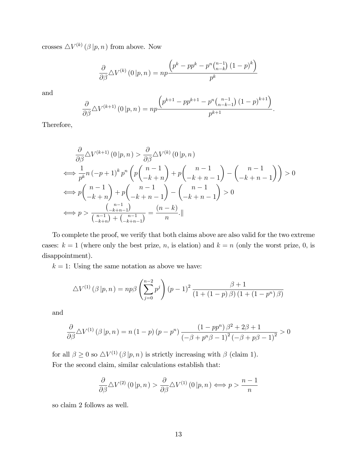crosses  $\triangle V^{(k)}(\beta | p, n)$  from above. Now

$$
\frac{\partial}{\partial \beta} \triangle V^{(k)}(0 | p, n) = np \frac{\left(p^k - pp^k - p^n {n-1 \choose n-k} (1-p)^k\right)}{p^k}
$$

and

$$
\frac{\partial}{\partial \beta} \Delta V^{(k+1)}(0 | p, n) = np \frac{\left(p^{k+1} - pp^{k+1} - p^n {n-1 \choose n-k-1} (1-p)^{k+1}\right)}{p^{k+1}}.
$$

Therefore,

$$
\frac{\partial}{\partial \beta} \Delta V^{(k+1)}(0 | p, n) > \frac{\partial}{\partial \beta} \Delta V^{(k)}(0 | p, n)
$$
  
\n
$$
\iff \frac{1}{p^k} n(-p+1)^k p^n \left( p \binom{n-1}{-k+n} + p \binom{n-1}{-k+n-1} - \binom{n-1}{-k+n-1} \right) > 0
$$
  
\n
$$
\iff p \binom{n-1}{-k+n} + p \binom{n-1}{-k+n-1} - \binom{n-1}{-k+n-1} > 0
$$
  
\n
$$
\iff p > \frac{\binom{n-1}{-k+n-1}}{\binom{n-1}{-k+n-1}} = \frac{(n-k)}{n}.
$$

To complete the proof, we verify that both claims above are also valid for the two extreme cases:  $k = 1$  (where only the best prize, n, is elation) and  $k = n$  (only the worst prize, 0, is disappointment).

 $k = 1$ : Using the same notation as above we have:

$$
\Delta V^{(1)}(\beta | p, n) = np\beta \left(\sum_{j=0}^{n-2} p^j\right) (p-1)^2 \frac{\beta + 1}{(1 + (1-p)\beta) (1 + (1-p^n)\beta)}
$$

and

$$
\frac{\partial}{\partial \beta} \Delta V^{(1)}(\beta | p, n) = n (1 - p) (p - p^n) \frac{(1 - pp^n) \beta^2 + 2\beta + 1}{(-\beta + p^n \beta - 1)^2 (-\beta + p\beta - 1)^2} > 0
$$

for all  $\beta \geq 0$  so  $\triangle V^{(1)}(\beta | p, n)$  is strictly increasing with  $\beta$  (claim 1). For the second claim, similar calculations establish that:

$$
\frac{\partial}{\partial \beta} \Delta V^{(2)}(0 | p, n) > \frac{\partial}{\partial \beta} \Delta V^{(1)}(0 | p, n) \Longleftrightarrow p > \frac{n-1}{n}
$$

so claim 2 follows as well.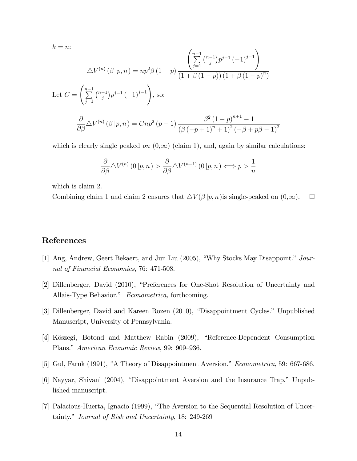$$
k = n:
$$
\n
$$
\Delta V^{(n)}(\beta | p, n) = np^2 \beta (1 - p) \frac{\left(\sum_{j=1}^{n-1} {n-j \choose j} p^{j-1} (-1)^{j-1}\right)}{(1 + \beta (1 - p))(1 + \beta (1 - p)^n)}
$$
\nLet 
$$
C = \left(\sum_{j=1}^{n-1} {n-j \choose j} p^{j-1} (-1)^{j-1}\right),
$$
 so:\n
$$
\frac{\partial}{\partial \beta} \Delta V^{(n)}(\beta | p, n) = Cnp^2 (p - 1) \frac{\beta^2 (1 - p)^{n+1} - 1}{(\beta (-p + 1)^n + 1)^2 (-\beta + p\beta - 1)^2}
$$

which is clearly single peaked on  $(0,\infty)$  (claim 1), and, again by similar calculations:

$$
\frac{\partial}{\partial \beta} \Delta V^{(n)}(0 | p, n) > \frac{\partial}{\partial \beta} \Delta V^{(n-1)}(0 | p, n) \Longleftrightarrow p > \frac{1}{n}
$$

which is claim 2.

Combining claim 1 and claim 2 ensures that  $\Delta V(\beta | p, n)$  is single-peaked on  $(0, \infty)$ .  $\Box$ 

## References

- [1] Ang, Andrew, Geert Bekaert, and Jun Liu (2005), "Why Stocks May Disappoint." Journal of Financial Economics, 76: 471-508.
- [2] Dillenberger, David (2010), "Preferences for One-Shot Resolution of Uncertainty and Allais-Type Behavior." Econometrica, forthcoming.
- [3] Dillenberger, David and Kareen Rozen (2010), "Disappointment Cycles." Unpublished Manuscript, University of Pennsylvania.
- [4] Köszegi, Botond and Matthew Rabin (2009), "Reference-Dependent Consumption Plans." American Economic Review, 99: 909–936.
- [5] Gul, Faruk (1991), "A Theory of Disappointment Aversion." *Econometrica*, 59: 667-686.
- [6] Nayyar, Shivani (2004), "Disappointment Aversion and the Insurance Trap." Unpublished manuscript.
- [7] Palacious-Huerta, Ignacio (1999), "The Aversion to the Sequential Resolution of Uncertainty." Journal of Risk and Uncertainty, 18: 249-269